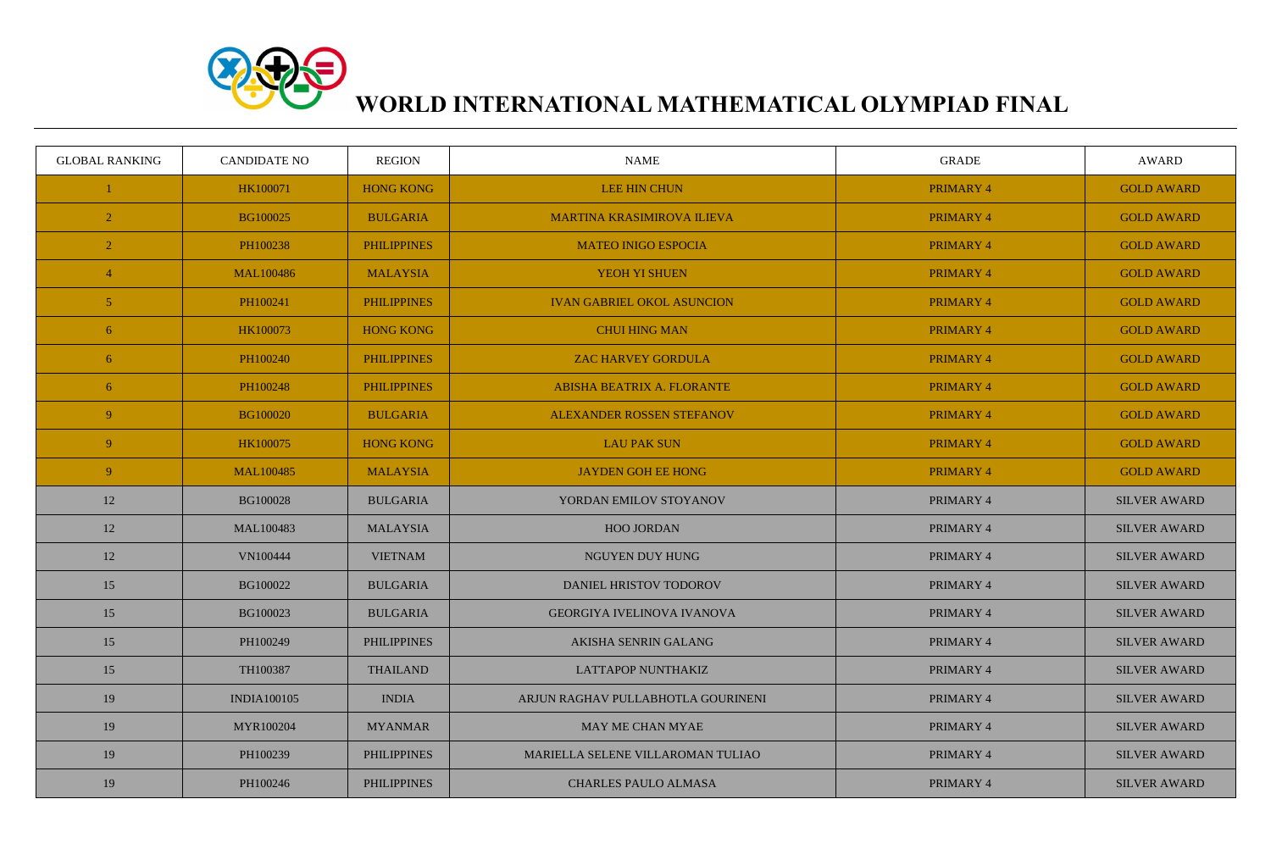

## **WORLD INTERNATIONAL MATHEMATICAL OLYMPIAD FINAL**

| <b>GLOBAL RANKING</b> | <b>CANDIDATE NO</b> | <b>REGION</b>      | <b>NAME</b>                        | <b>GRADE</b>     | AWARD               |
|-----------------------|---------------------|--------------------|------------------------------------|------------------|---------------------|
|                       | HK100071            | <b>HONG KONG</b>   | <b>LEE HIN CHUN</b>                | <b>PRIMARY 4</b> | <b>GOLD AWARD</b>   |
| $\overline{2}$        | BG100025            | <b>BULGARIA</b>    | <b>MARTINA KRASIMIROVA ILIEVA</b>  | <b>PRIMARY 4</b> | <b>GOLD AWARD</b>   |
| $\overline{2}$        | PH100238            | <b>PHILIPPINES</b> | <b>MATEO INIGO ESPOCIA</b>         | <b>PRIMARY 4</b> | <b>GOLD AWARD</b>   |
| $\overline{4}$        | <b>MAL100486</b>    | <b>MALAYSIA</b>    | YEOH YI SHUEN                      | <b>PRIMARY 4</b> | <b>GOLD AWARD</b>   |
| 5 <sup>5</sup>        | PH100241            | <b>PHILIPPINES</b> | <b>IVAN GABRIEL OKOL ASUNCION</b>  | <b>PRIMARY 4</b> | <b>GOLD AWARD</b>   |
| 6                     | HK100073            | <b>HONG KONG</b>   | <b>CHUI HING MAN</b>               | PRIMARY 4        | <b>GOLD AWARD</b>   |
| 6 <sup>1</sup>        | PH100240            | <b>PHILIPPINES</b> | <b>ZAC HARVEY GORDULA</b>          | <b>PRIMARY 4</b> | <b>GOLD AWARD</b>   |
| 6 <sup>1</sup>        | PH100248            | <b>PHILIPPINES</b> | ABISHA BEATRIX A. FLORANTE         | <b>PRIMARY 4</b> | <b>GOLD AWARD</b>   |
| 9 <sup>°</sup>        | <b>BG100020</b>     | <b>BULGARIA</b>    | <b>ALEXANDER ROSSEN STEFANOV</b>   | <b>PRIMARY 4</b> | <b>GOLD AWARD</b>   |
| 9 <sup>°</sup>        | HK100075            | <b>HONG KONG</b>   | <b>LAU PAK SUN</b>                 | PRIMARY 4        | <b>GOLD AWARD</b>   |
| 9 <sup>°</sup>        | <b>MAL100485</b>    | <b>MALAYSIA</b>    | <b>JAYDEN GOH EE HONG</b>          | PRIMARY 4        | <b>GOLD AWARD</b>   |
| 12                    | <b>BG100028</b>     | <b>BULGARIA</b>    | YORDAN EMILOV STOYANOV             | PRIMARY 4        | <b>SILVER AWARD</b> |
| 12                    | MAL100483           | <b>MALAYSIA</b>    | <b>HOO JORDAN</b>                  | PRIMARY 4        | <b>SILVER AWARD</b> |
| 12                    | VN100444            | <b>VIETNAM</b>     | NGUYEN DUY HUNG                    | PRIMARY 4        | <b>SILVER AWARD</b> |
| 15                    | BG100022            | <b>BULGARIA</b>    | DANIEL HRISTOV TODOROV             | PRIMARY 4        | <b>SILVER AWARD</b> |
| 15                    | BG100023            | <b>BULGARIA</b>    | <b>GEORGIYA IVELINOVA IVANOVA</b>  | PRIMARY 4        | <b>SILVER AWARD</b> |
| 15                    | PH100249            | <b>PHILIPPINES</b> | AKISHA SENRIN GALANG               | PRIMARY 4        | <b>SILVER AWARD</b> |
| 15                    | TH100387            | <b>THAILAND</b>    | <b>LATTAPOP NUNTHAKIZ</b>          | PRIMARY 4        | <b>SILVER AWARD</b> |
| 19                    | <b>INDIA100105</b>  | <b>INDIA</b>       | ARJUN RAGHAV PULLABHOTLA GOURINENI | PRIMARY 4        | <b>SILVER AWARD</b> |
| 19                    | MYR100204           | <b>MYANMAR</b>     | MAY ME CHAN MYAE                   | PRIMARY 4        | <b>SILVER AWARD</b> |
| 19                    | PH100239            | <b>PHILIPPINES</b> | MARIELLA SELENE VILLAROMAN TULIAO  | PRIMARY 4        | <b>SILVER AWARD</b> |
| 19                    | PH100246            | <b>PHILIPPINES</b> | <b>CHARLES PAULO ALMASA</b>        | PRIMARY 4        | <b>SILVER AWARD</b> |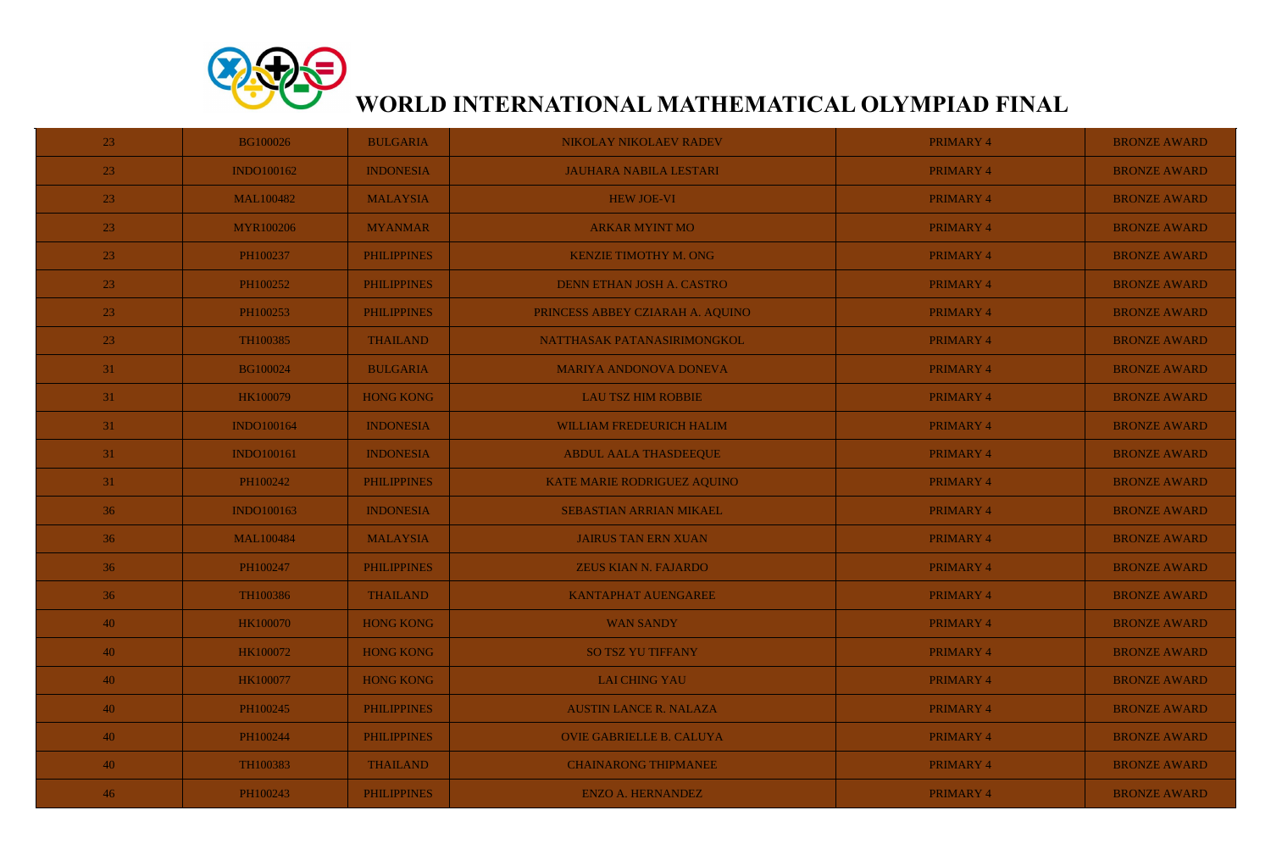

## **WORLD INTERNATIONAL MATHEMATICAL OLYMPIAD FINAL**

| 23              | <b>BG100026</b>   | <b>BULGARIA</b>    | NIKOLAY NIKOLAEV RADEV           | PRIMARY 4        | <b>BRONZE AWARD</b> |
|-----------------|-------------------|--------------------|----------------------------------|------------------|---------------------|
| 23              | <b>INDO100162</b> | <b>INDONESIA</b>   | <b>JAUHARA NABILA LESTARI</b>    | PRIMARY 4        | <b>BRONZE AWARD</b> |
| 23              | <b>MAL100482</b>  | <b>MALAYSIA</b>    | <b>HEW JOE-VI</b>                | PRIMARY 4        | <b>BRONZE AWARD</b> |
| 23              | <b>MYR100206</b>  | <b>MYANMAR</b>     | <b>ARKAR MYINT MO</b>            | PRIMARY 4        | <b>BRONZE AWARD</b> |
| 23              | PH100237          | <b>PHILIPPINES</b> | <b>KENZIE TIMOTHY M. ONG</b>     | <b>PRIMARY 4</b> | <b>BRONZE AWARD</b> |
| 23              | PH100252          | <b>PHILIPPINES</b> | DENN ETHAN JOSH A. CASTRO        | PRIMARY 4        | <b>BRONZE AWARD</b> |
| 23              | PH100253          | <b>PHILIPPINES</b> | PRINCESS ABBEY CZIARAH A. AQUINO | PRIMARY 4        | <b>BRONZE AWARD</b> |
| 23              | TH100385          | <b>THAILAND</b>    | NATTHASAK PATANASIRIMONGKOL      | PRIMARY 4        | <b>BRONZE AWARD</b> |
| 31              | <b>BG100024</b>   | <b>BULGARIA</b>    | <b>MARIYA ANDONOVA DONEVA</b>    | PRIMARY 4        | <b>BRONZE AWARD</b> |
| 31              | HK100079          | <b>HONG KONG</b>   | <b>LAU TSZ HIM ROBBIE</b>        | PRIMARY 4        | <b>BRONZE AWARD</b> |
| 31              | <b>INDO100164</b> | <b>INDONESIA</b>   | WILLIAM FREDEURICH HALIM         | PRIMARY 4        | <b>BRONZE AWARD</b> |
| 31              | <b>INDO100161</b> | <b>INDONESIA</b>   | <b>ABDUL AALA THASDEEQUE</b>     | PRIMARY 4        | <b>BRONZE AWARD</b> |
| 31              | PH100242          | <b>PHILIPPINES</b> | KATE MARIE RODRIGUEZ AQUINO      | PRIMARY 4        | <b>BRONZE AWARD</b> |
| 36              | <b>INDO100163</b> | <b>INDONESIA</b>   | <b>SEBASTIAN ARRIAN MIKAEL</b>   | PRIMARY 4        | <b>BRONZE AWARD</b> |
| 36              | <b>MAL100484</b>  | <b>MALAYSIA</b>    | <b>JAIRUS TAN ERN XUAN</b>       | PRIMARY 4        | <b>BRONZE AWARD</b> |
| 36 <sup>°</sup> | PH100247          | <b>PHILIPPINES</b> | ZEUS KIAN N. FAJARDO             | PRIMARY 4        | <b>BRONZE AWARD</b> |
| 36              | TH100386          | <b>THAILAND</b>    | <b>KANTAPHAT AUENGAREE</b>       | PRIMARY 4        | <b>BRONZE AWARD</b> |
| 40              | <b>HK100070</b>   | <b>HONG KONG</b>   | <b>WAN SANDY</b>                 | PRIMARY 4        | <b>BRONZE AWARD</b> |
| 40              | HK100072          | <b>HONG KONG</b>   | <b>SO TSZ YU TIFFANY</b>         | PRIMARY 4        | <b>BRONZE AWARD</b> |
| 40              | HK100077          | <b>HONG KONG</b>   | <b>LAI CHING YAU</b>             | PRIMARY 4        | <b>BRONZE AWARD</b> |
| 40              | PH100245          | <b>PHILIPPINES</b> | <b>AUSTIN LANCE R. NALAZA</b>    | PRIMARY 4        | <b>BRONZE AWARD</b> |
| 40              | PH100244          | <b>PHILIPPINES</b> | <b>OVIE GABRIELLE B. CALUYA</b>  | PRIMARY 4        | <b>BRONZE AWARD</b> |
| 40              | TH100383          | <b>THAILAND</b>    | <b>CHAINARONG THIPMANEE</b>      | PRIMARY 4        | <b>BRONZE AWARD</b> |
| 46              | PH100243          | <b>PHILIPPINES</b> | <b>ENZO A. HERNANDEZ</b>         | PRIMARY 4        | <b>BRONZE AWARD</b> |